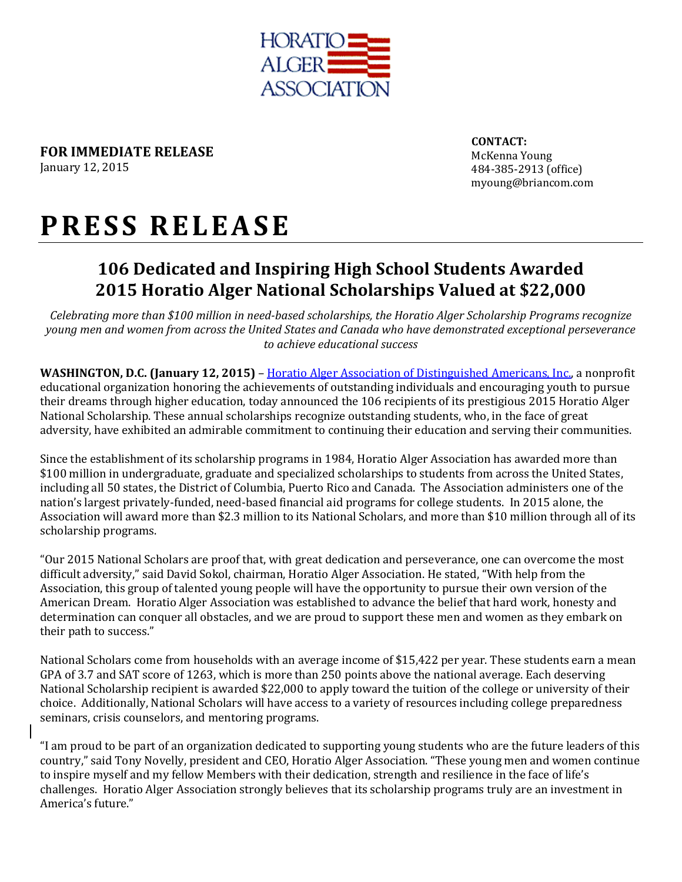

**FOR IMMEDIATE RELEASE** January 12, 2015

**CONTACT:** McKenna Young 484-385-2913 (office) myoung@briancom.com

## **P R E S S R E L E A S E**

## **106 Dedicated and Inspiring High School Students Awarded 2015 Horatio Alger National Scholarships Valued at \$22,000**

*Celebrating more than \$100 million in need-based scholarships, the Horatio Alger Scholarship Programs recognize young men and women from across the United States and Canada who have demonstrated exceptional perseverance to achieve educational success* 

**WASHINGTON, D.C. (January 12, 2015)** – [Horatio Alger Association of Distinguished Americans, Inc.,](http://www.horatioalger.org/) a nonprofit educational organization honoring the achievements of outstanding individuals and encouraging youth to pursue their dreams through higher education, today announced the 106 recipients of its prestigious 2015 Horatio Alger National Scholarship. These annual scholarships recognize outstanding students, who, in the face of great adversity, have exhibited an admirable commitment to continuing their education and serving their communities.

Since the establishment of its scholarship programs in 1984, Horatio Alger Association has awarded more than \$100 million in undergraduate, graduate and specialized scholarships to students from across the United States, including all 50 states, the District of Columbia, Puerto Rico and Canada. The Association administers one of the nation's largest privately-funded, need-based financial aid programs for college students. In 2015 alone, the Association will award more than \$2.3 million to its National Scholars, and more than \$10 million through all of its scholarship programs.

"Our 2015 National Scholars are proof that, with great dedication and perseverance, one can overcome the most difficult adversity," said David Sokol, chairman, Horatio Alger Association. He stated, "With help from the Association, this group of talented young people will have the opportunity to pursue their own version of the American Dream. Horatio Alger Association was established to advance the belief that hard work, honesty and determination can conquer all obstacles, and we are proud to support these men and women as they embark on their path to success."

National Scholars come from households with an average income of \$15,422 per year. These students earn a mean GPA of 3.7 and SAT score of 1263, which is more than 250 points above the national average. Each deserving National Scholarship recipient is awarded \$22,000 to apply toward the tuition of the college or university of their choice. Additionally, National Scholars will have access to a variety of resources including college preparedness seminars, crisis counselors, and mentoring programs.

"I am proud to be part of an organization dedicated to supporting young students who are the future leaders of this country," said Tony Novelly, president and CEO, Horatio Alger Association. "These young men and women continue to inspire myself and my fellow Members with their dedication, strength and resilience in the face of life's challenges. Horatio Alger Association strongly believes that its scholarship programs truly are an investment in America's future."